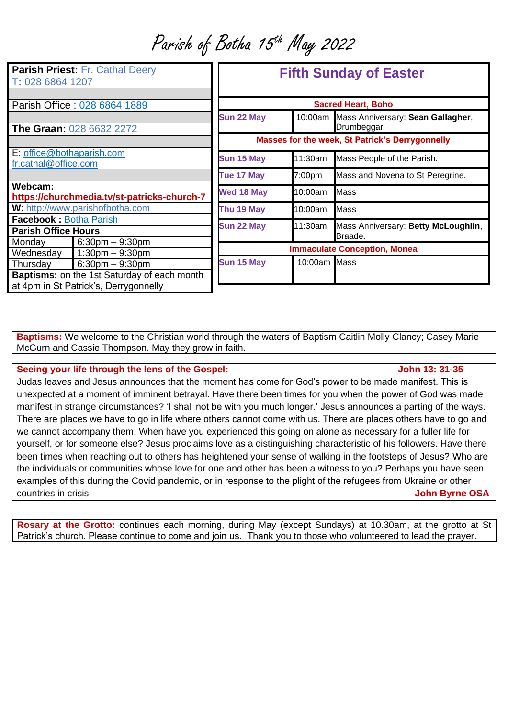Parish of Botha 15th May 2022

| <b>Parish Priest: Fr. Cathal Deery</b><br>T: 028 6864 1207  |                                                                                                              | <b>Fifth Sunday of Easter</b>                   |              |                                                         |
|-------------------------------------------------------------|--------------------------------------------------------------------------------------------------------------|-------------------------------------------------|--------------|---------------------------------------------------------|
| Parish Office: 028 6864 1889                                |                                                                                                              | <b>Sacred Heart, Boho</b>                       |              |                                                         |
|                                                             | The Graan: 028 6632 2272                                                                                     | Sun 22 May                                      |              | 10:00am Mass Anniversary: Sean Gallagher,<br>Drumbeggar |
|                                                             |                                                                                                              | Masses for the week, St Patrick's Derrygonnelly |              |                                                         |
| E: office@bothaparish.com<br>fr.cathal@office.com           |                                                                                                              | Sun 15 May                                      | 11:30am      | Mass People of the Parish.                              |
|                                                             |                                                                                                              | Tue 17 May                                      | 7:00pm       | Mass and Novena to St Peregrine.                        |
| Webcam:<br>https://churchmedia.tv/st-patricks-church-7      |                                                                                                              | <b>Wed 18 May</b>                               | 10:00am      | <b>Mass</b>                                             |
| W: http://www.parishofbotha.com                             |                                                                                                              | Thu 19 May                                      | 10:00am      | <b>Mass</b>                                             |
| <b>Facebook: Botha Parish</b><br><b>Parish Office Hours</b> |                                                                                                              | Sun 22 May                                      | 11:30am      | Mass Anniversary: Betty McLoughlin,<br>Braade.          |
| Monday<br>Wednesday                                         | $6:30$ pm $-9:30$ pm<br>$1:30 \text{pm} - 9:30 \text{pm}$                                                    | <b>Immaculate Conception, Monea</b>             |              |                                                         |
| Thursday                                                    | $6:30$ pm $-9:30$ pm<br>Baptisms: on the 1st Saturday of each month<br>at 4pm in St Patrick's, Derrygonnelly | Sun 15 May                                      | 10:00am Mass |                                                         |

**Baptisms:** We welcome to the Christian world through the waters of Baptism Caitlin Molly Clancy; Casey Marie McGurn and Cassie Thompson. May they grow in faith.

## **Seeing your life through the lens of the Gospel:** John 13: 31-35

Judas leaves and Jesus announces that the moment has come for God's power to be made manifest. This is unexpected at a moment of imminent betrayal. Have there been times for you when the power of God was made manifest in strange circumstances? 'I shall not be with you much longer.' Jesus announces a parting of the ways. There are places we have to go in life where others cannot come with us. There are places others have to go and we cannot accompany them. When have you experienced this going on alone as necessary for a fuller life for yourself, or for someone else? Jesus proclaims love as a distinguishing characteristic of his followers. Have there been times when reaching out to others has heightened your sense of walking in the footsteps of Jesus? Who are the individuals or communities whose love for one and other has been a witness to you? Perhaps you have seen examples of this during the Covid pandemic, or in response to the plight of the refugees from Ukraine or other countries in crisis. **John Byrne OSA**

**Rosary at the Grotto:** continues each morning, during May (except Sundays) at 10.30am, at the grotto at St Patrick's church. Please continue to come and join us. Thank you to those who volunteered to lead the prayer.